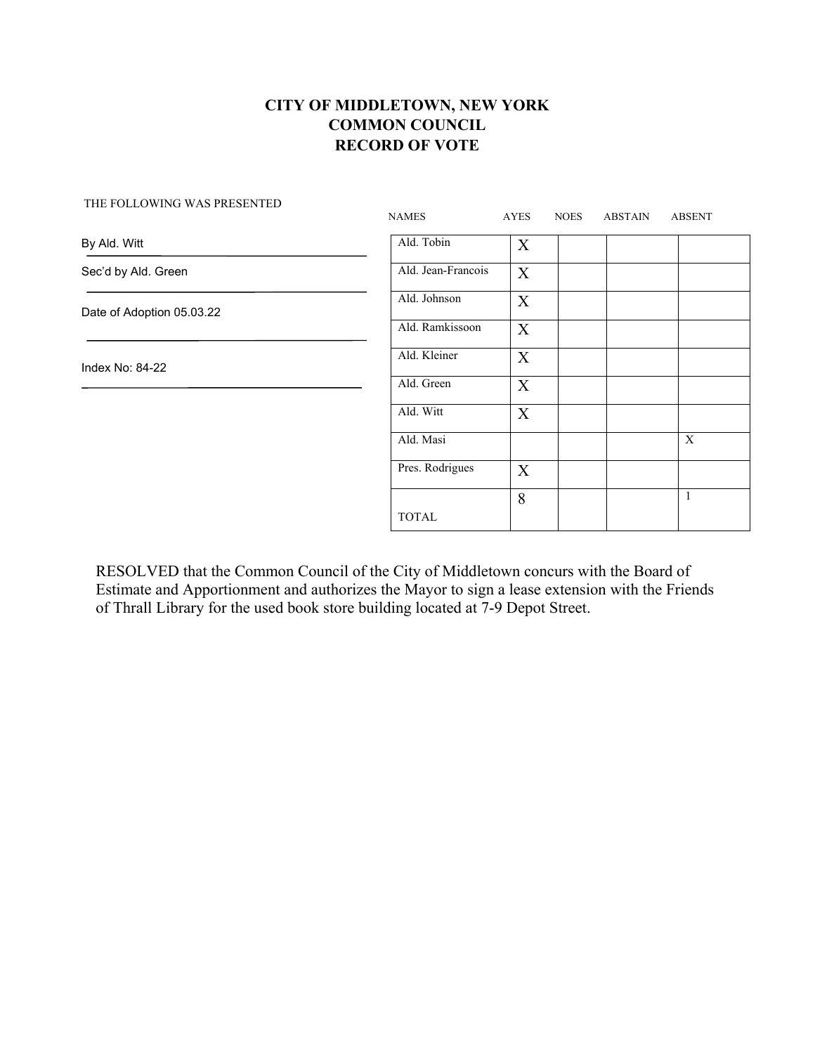|                           | <b>NAMES</b>       | <b>AYES</b>      | <b>NOES</b> | <b>ABSTAIN</b> | <b>ABSENT</b> |
|---------------------------|--------------------|------------------|-------------|----------------|---------------|
| By Ald. Witt              | Ald. Tobin         | $\boldsymbol{X}$ |             |                |               |
| Sec'd by Ald. Green       | Ald. Jean-Francois | X                |             |                |               |
| Date of Adoption 05.03.22 | Ald. Johnson       | X                |             |                |               |
|                           | Ald. Ramkissoon    | X                |             |                |               |
| Index No: 84-22           | Ald. Kleiner       | X                |             |                |               |
|                           | Ald. Green         | X                |             |                |               |
|                           | Ald. Witt          | X                |             |                |               |
|                           | Ald. Masi          |                  |             |                | X             |
|                           | Pres. Rodrigues    | X                |             |                |               |
|                           |                    | 8                |             |                | $\mathbf{1}$  |
|                           | <b>TOTAL</b>       |                  |             |                |               |

THE FOLLOWING WAS PRESENTED

RESOLVED that the Common Council of the City of Middletown concurs with the Board of Estimate and Apportionment and authorizes the Mayor to sign a lease extension with the Friends of Thrall Library for the used book store building located at 7-9 Depot Street.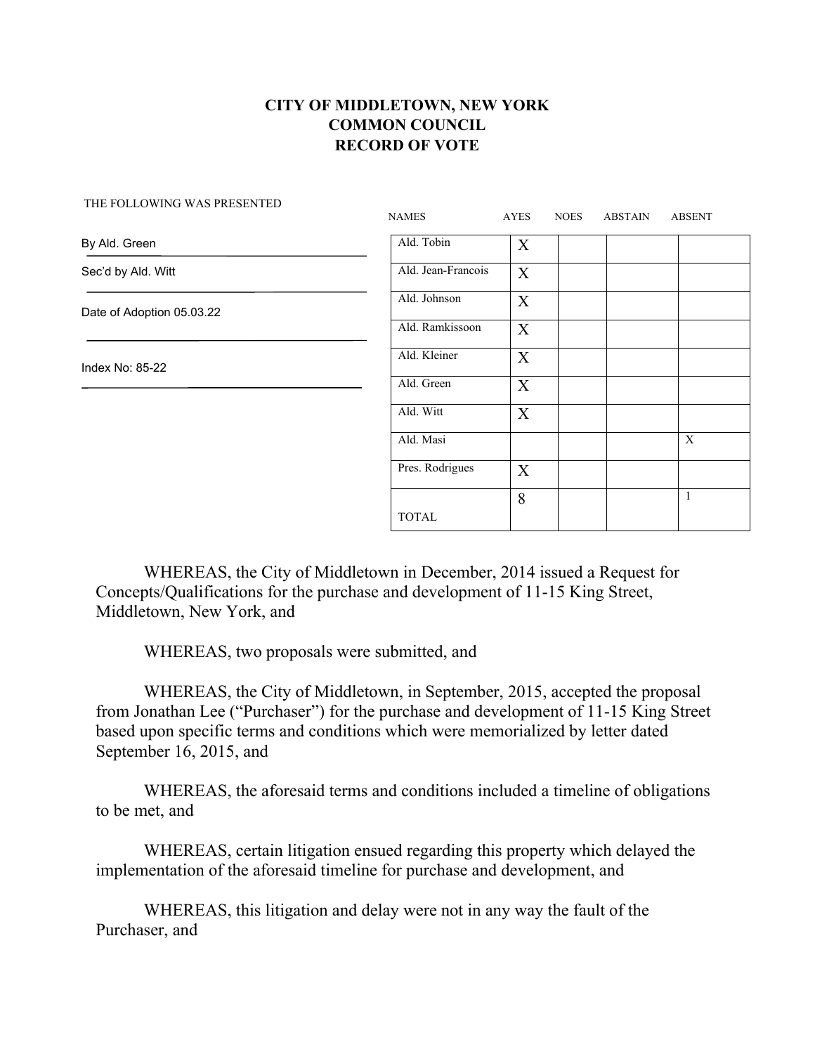|                           | <b>NAMES</b>       | <b>AYES</b> | <b>NOES</b> | <b>ABSTAIN</b> | <b>ABSENT</b>  |
|---------------------------|--------------------|-------------|-------------|----------------|----------------|
| By Ald. Green             | Ald. Tobin         | X           |             |                |                |
| Sec'd by Ald. Witt        | Ald. Jean-Francois | X           |             |                |                |
| Date of Adoption 05.03.22 | Ald. Johnson       | X           |             |                |                |
|                           | Ald. Ramkissoon    | X           |             |                |                |
| Index No: 85-22           | Ald. Kleiner       | $\mathbf X$ |             |                |                |
|                           | Ald. Green         | $\mathbf X$ |             |                |                |
|                           | Ald. Witt          | X           |             |                |                |
|                           | Ald. Masi          |             |             |                | $\overline{X}$ |
|                           | Pres. Rodrigues    | X           |             |                |                |
|                           | <b>TOTAL</b>       | 8           |             |                | $\mathbf{1}$   |

THE FOLLOWING WAS PRESENTED

WHEREAS, the City of Middletown in December, 2014 issued a Request for Concepts/Qualifications for the purchase and development of 11-15 King Street, Middletown, New York, and

WHEREAS, two proposals were submitted, and

WHEREAS, the City of Middletown, in September, 2015, accepted the proposal from Jonathan Lee ("Purchaser") for the purchase and development of 11-15 King Street based upon specific terms and conditions which were memorialized by letter dated September 16, 2015, and

WHEREAS, the aforesaid terms and conditions included a timeline of obligations to be met, and

WHEREAS, certain litigation ensued regarding this property which delayed the implementation of the aforesaid timeline for purchase and development, and

WHEREAS, this litigation and delay were not in any way the fault of the Purchaser, and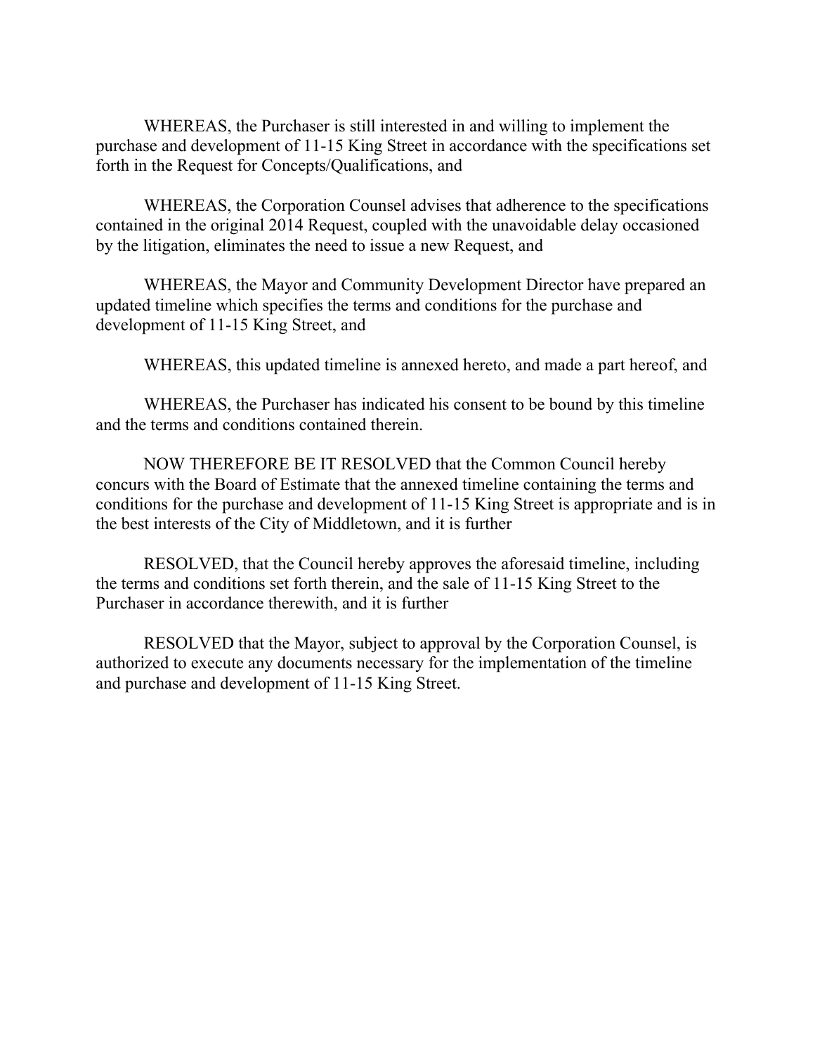WHEREAS, the Purchaser is still interested in and willing to implement the purchase and development of 11-15 King Street in accordance with the specifications set forth in the Request for Concepts/Qualifications, and

WHEREAS, the Corporation Counsel advises that adherence to the specifications contained in the original 2014 Request, coupled with the unavoidable delay occasioned by the litigation, eliminates the need to issue a new Request, and

WHEREAS, the Mayor and Community Development Director have prepared an updated timeline which specifies the terms and conditions for the purchase and development of 11-15 King Street, and

WHEREAS, this updated timeline is annexed hereto, and made a part hereof, and

WHEREAS, the Purchaser has indicated his consent to be bound by this timeline and the terms and conditions contained therein.

NOW THEREFORE BE IT RESOLVED that the Common Council hereby concurs with the Board of Estimate that the annexed timeline containing the terms and conditions for the purchase and development of 11-15 King Street is appropriate and is in the best interests of the City of Middletown, and it is further

RESOLVED, that the Council hereby approves the aforesaid timeline, including the terms and conditions set forth therein, and the sale of 11-15 King Street to the Purchaser in accordance therewith, and it is further

RESOLVED that the Mayor, subject to approval by the Corporation Counsel, is authorized to execute any documents necessary for the implementation of the timeline and purchase and development of 11-15 King Street.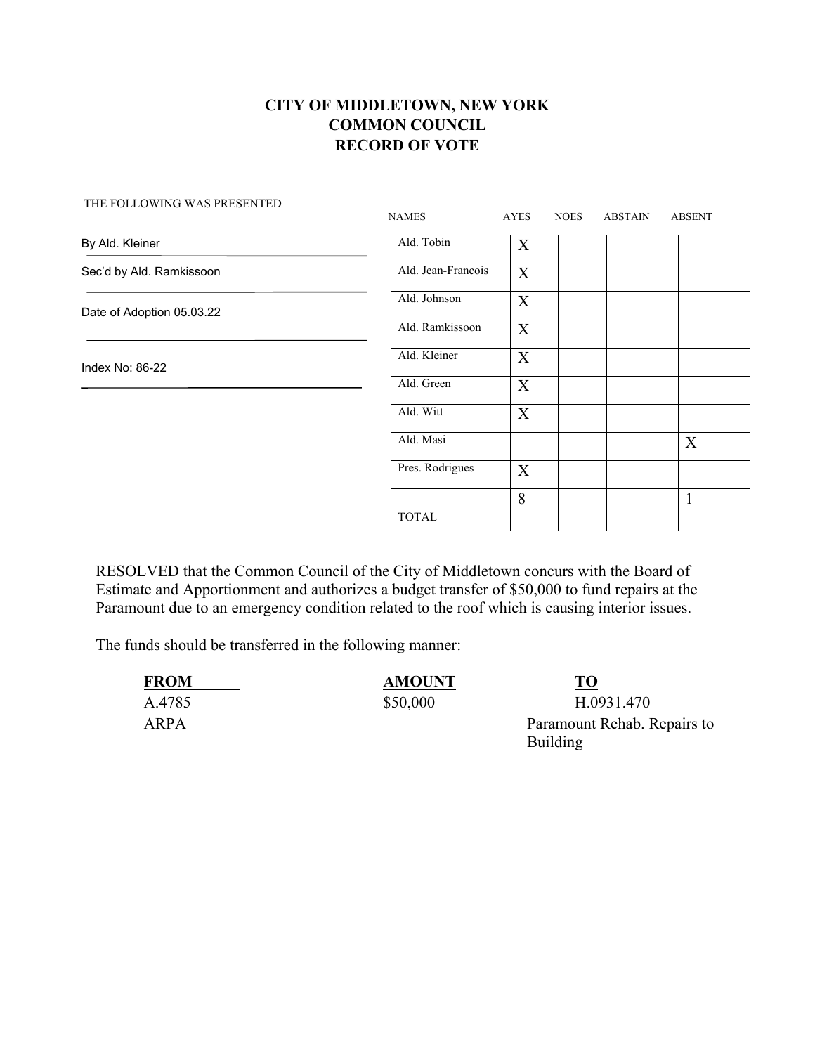#### THE FOLLOWING WAS PRESENTED

| THE LOEEO WING WAS LIKESENTED | <b>NAMES</b>       | AYES             | <b>NOES</b> | <b>ABSTAIN</b> | <b>ABSENT</b> |
|-------------------------------|--------------------|------------------|-------------|----------------|---------------|
| By Ald. Kleiner               | Ald. Tobin         | $\boldsymbol{X}$ |             |                |               |
| Sec'd by Ald. Ramkissoon      | Ald. Jean-Francois | X                |             |                |               |
| Date of Adoption 05.03.22     | Ald. Johnson       | X                |             |                |               |
|                               | Ald. Ramkissoon    | X                |             |                |               |
| Index No: 86-22               | Ald. Kleiner       | X                |             |                |               |
|                               | Ald. Green         | X                |             |                |               |
|                               | Ald. Witt          | X                |             |                |               |
|                               | Ald. Masi          |                  |             |                | X             |
|                               | Pres. Rodrigues    | X                |             |                |               |
|                               | <b>TOTAL</b>       | 8                |             |                | $\mathbf{1}$  |

RESOLVED that the Common Council of the City of Middletown concurs with the Board of Estimate and Apportionment and authorizes a budget transfer of \$50,000 to fund repairs at the Paramount due to an emergency condition related to the roof which is causing interior issues.

The funds should be transferred in the following manner:

| <b>FROM</b> | <b>AMOUNT</b> | <b>TO</b>                               |
|-------------|---------------|-----------------------------------------|
| A.4785      | \$50,000      | H.0931.470                              |
| ARPA        |               | Paramount Rehab. Repairs to<br>Building |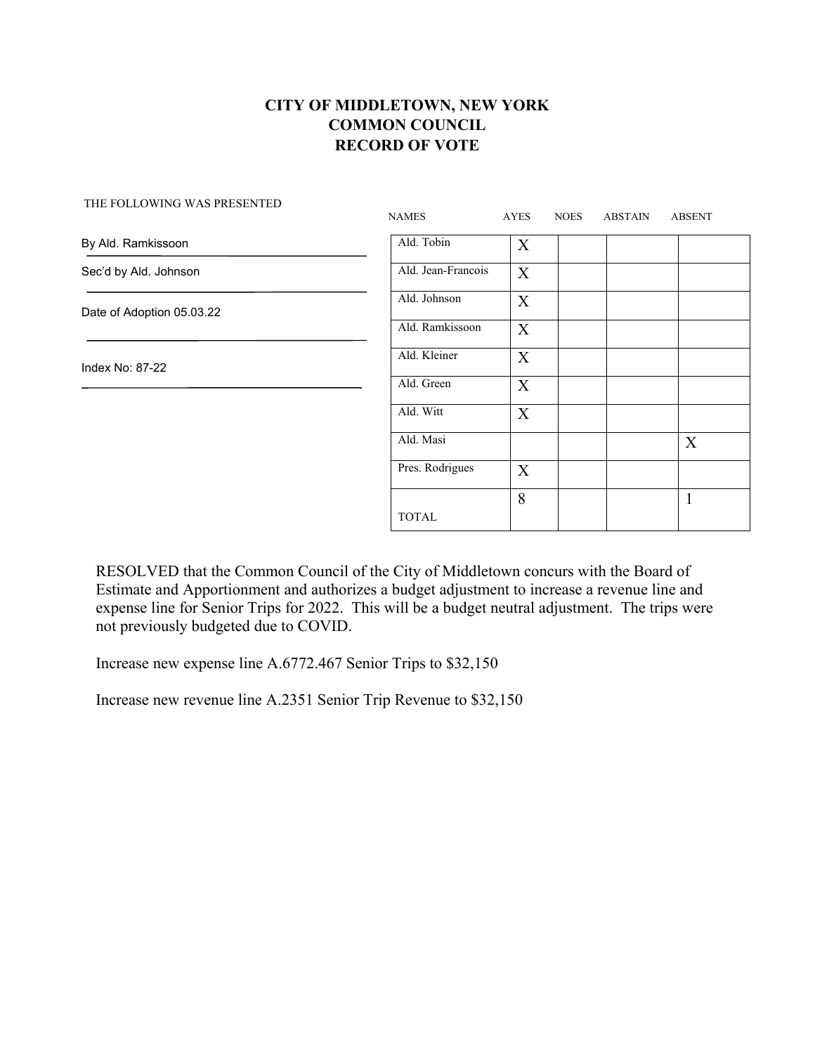| THE FOLLOWING WAS PRESENTED | <b>NAMES</b>       | AYES             | <b>NOES</b> | <b>ABSTAIN</b> | <b>ABSENT</b> |
|-----------------------------|--------------------|------------------|-------------|----------------|---------------|
| By Ald. Ramkissoon          | Ald. Tobin         | X                |             |                |               |
| Sec'd by Ald. Johnson       | Ald. Jean-Francois | X                |             |                |               |
| Date of Adoption 05.03.22   | Ald. Johnson       | X                |             |                |               |
|                             | Ald. Ramkissoon    | X                |             |                |               |
| Index No: 87-22             | Ald. Kleiner       | X                |             |                |               |
|                             | Ald. Green         | X                |             |                |               |
|                             | Ald. Witt          | $\boldsymbol{X}$ |             |                |               |
|                             | Ald. Masi          |                  |             |                | X             |
|                             | Pres. Rodrigues    | X                |             |                |               |
|                             | <b>TOTAL</b>       | 8                |             |                | $\mathbf{1}$  |

RESOLVED that the Common Council of the City of Middletown concurs with the Board of Estimate and Apportionment and authorizes a budget adjustment to increase a revenue line and expense line for Senior Trips for 2022. This will be a budget neutral adjustment. The trips were not previously budgeted due to COVID.

Increase new expense line A.6772.467 Senior Trips to \$32,150

Increase new revenue line A.2351 Senior Trip Revenue to \$32,150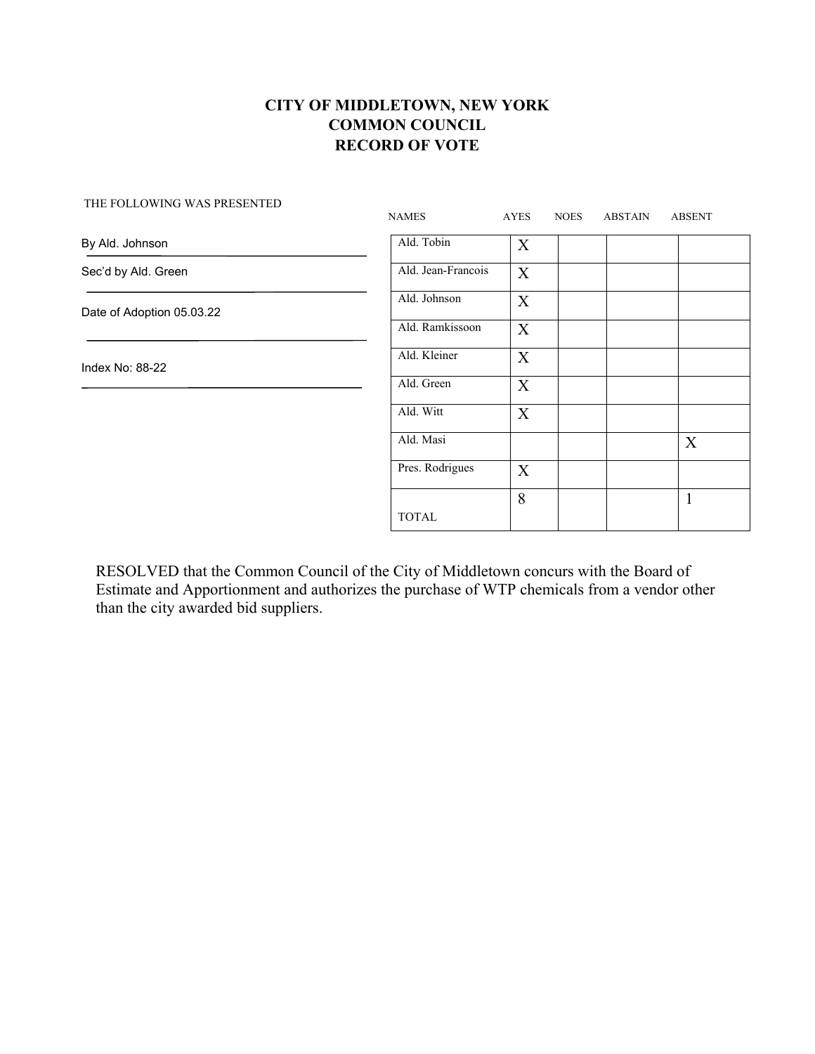THE FOLLOWING WAS PRESENTED

|                           | <b>NAMES</b>       | AYES        | <b>NOES</b> | <b>ABSTAIN</b> | <b>ABSENT</b> |
|---------------------------|--------------------|-------------|-------------|----------------|---------------|
| By Ald. Johnson           | Ald. Tobin         | X           |             |                |               |
| Sec'd by Ald. Green       | Ald. Jean-Francois | X           |             |                |               |
| Date of Adoption 05.03.22 | Ald. Johnson       | X           |             |                |               |
|                           | Ald. Ramkissoon    | $\mathbf X$ |             |                |               |
| Index No: 88-22           | Ald. Kleiner       | $\mathbf X$ |             |                |               |
|                           | Ald. Green         | $\mathbf X$ |             |                |               |
|                           | Ald. Witt          | X           |             |                |               |
|                           | Ald. Masi          |             |             |                | X             |
|                           | Pres. Rodrigues    | X           |             |                |               |
|                           |                    | 8           |             |                | $\mathbf{1}$  |
|                           | TOTAL              |             |             |                |               |

RESOLVED that the Common Council of the City of Middletown concurs with the Board of Estimate and Apportionment and authorizes the purchase of WTP chemicals from a vendor other than the city awarded bid suppliers.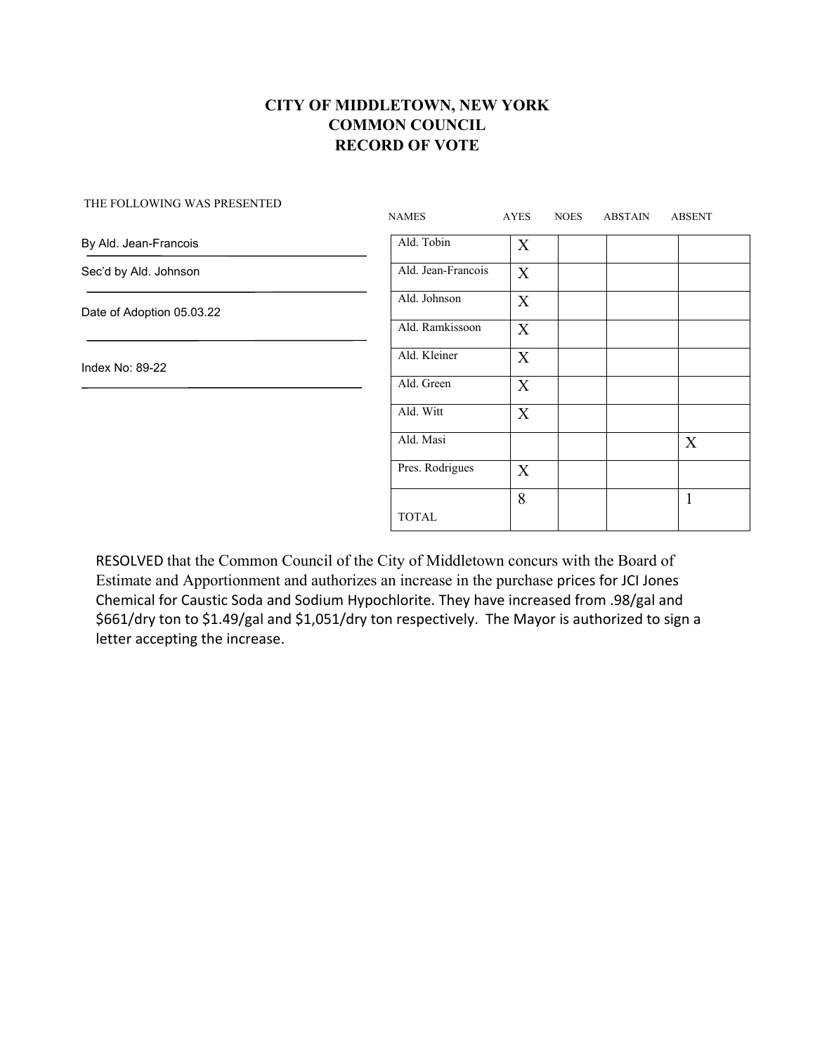| THE FOLLOWING WAS PRESENTED | <b>NAMES</b>       | AYES             | <b>NOES</b> | <b>ABSTAIN</b> | <b>ABSENT</b> |
|-----------------------------|--------------------|------------------|-------------|----------------|---------------|
| By Ald. Jean-Francois       | Ald. Tobin         | $\boldsymbol{X}$ |             |                |               |
| Sec'd by Ald. Johnson       | Ald. Jean-Francois | $\mathbf X$      |             |                |               |
| Date of Adoption 05.03.22   | Ald. Johnson       | X                |             |                |               |
|                             | Ald. Ramkissoon    | X                |             |                |               |
| Index No: 89-22             | Ald. Kleiner       | $\mathbf X$      |             |                |               |
|                             | Ald. Green         | $\boldsymbol{X}$ |             |                |               |
|                             | Ald. Witt          | X                |             |                |               |
|                             | Ald. Masi          |                  |             |                | X             |
|                             | Pres. Rodrigues    | X                |             |                |               |
|                             |                    | 8                |             |                | $\mathbf{1}$  |
|                             | <b>TOTAL</b>       |                  |             |                |               |

RESOLVED that the Common Council of the City of Middletown concurs with the Board of Estimate and Apportionment and authorizes an increase in the purchase prices for JCI Jones Chemical for Caustic Soda and Sodium Hypochlorite. They have increased from .98/gal and \$661/dry ton to \$1.49/gal and \$1,051/dry ton respectively. The Mayor is authorized to sign a letter accepting the increase.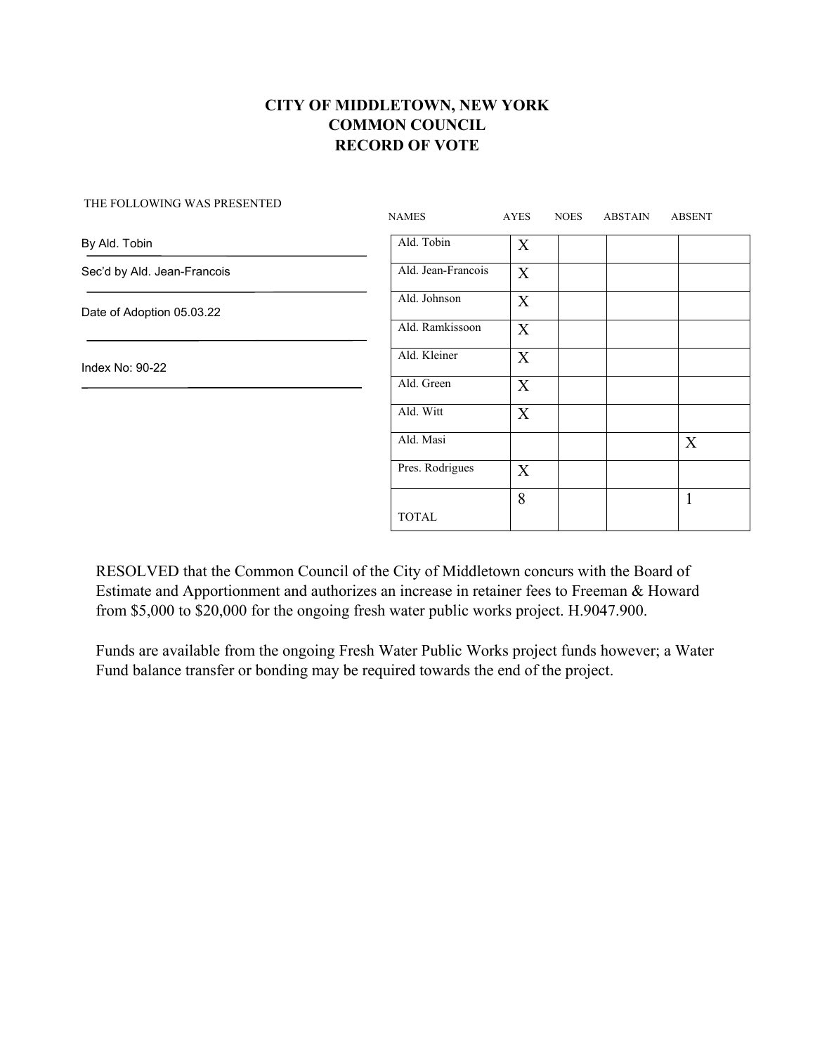|                             | <b>NAMES</b>       | <b>AYES</b>      | <b>NOES</b> | <b>ABSTAIN</b> | <b>ABSENT</b> |
|-----------------------------|--------------------|------------------|-------------|----------------|---------------|
| By Ald. Tobin               | Ald. Tobin         | $\boldsymbol{X}$ |             |                |               |
| Sec'd by Ald. Jean-Francois | Ald. Jean-Francois | X                |             |                |               |
| Date of Adoption 05.03.22   | Ald. Johnson       | X                |             |                |               |
|                             | Ald. Ramkissoon    | X                |             |                |               |
| Index No: 90-22             | Ald. Kleiner       | $\mathbf X$      |             |                |               |
|                             | Ald. Green         | X                |             |                |               |
|                             | Ald. Witt          | X                |             |                |               |
|                             | Ald. Masi          |                  |             |                | X             |
|                             | Pres. Rodrigues    | X                |             |                |               |
|                             | <b>TOTAL</b>       | 8                |             |                | $\mathbf{1}$  |
|                             |                    |                  |             |                |               |

THE FOLLOWING WAS PRESENTED

RESOLVED that the Common Council of the City of Middletown concurs with the Board of Estimate and Apportionment and authorizes an increase in retainer fees to Freeman & Howard from \$5,000 to \$20,000 for the ongoing fresh water public works project. H.9047.900.

Funds are available from the ongoing Fresh Water Public Works project funds however; a Water Fund balance transfer or bonding may be required towards the end of the project.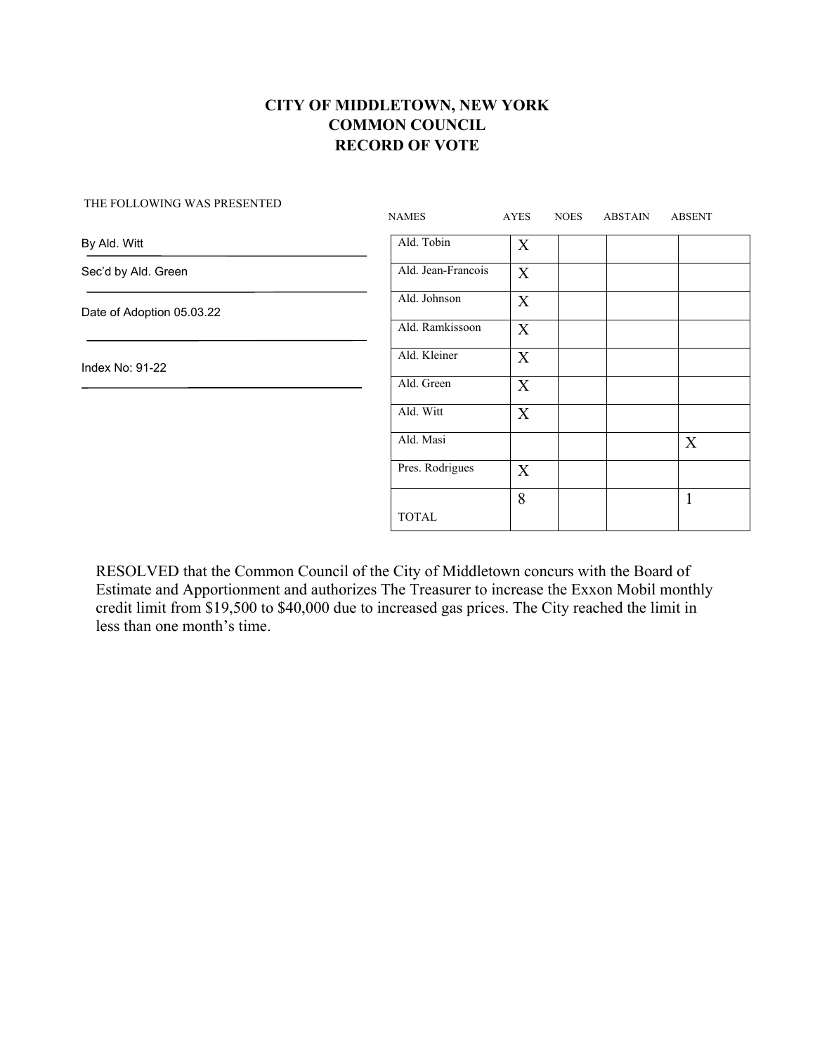|                           | <b>NAMES</b>       | <b>AYES</b>      | <b>NOES</b> | <b>ABSTAIN</b> | <b>ABSENT</b> |
|---------------------------|--------------------|------------------|-------------|----------------|---------------|
| By Ald. Witt              | Ald. Tobin         | $\boldsymbol{X}$ |             |                |               |
| Sec'd by Ald. Green       | Ald. Jean-Francois | X                |             |                |               |
| Date of Adoption 05.03.22 | Ald. Johnson       | X                |             |                |               |
|                           | Ald. Ramkissoon    | X                |             |                |               |
| Index No: 91-22           | Ald. Kleiner       | X                |             |                |               |
|                           | Ald. Green         | X                |             |                |               |
|                           | Ald. Witt          | X                |             |                |               |
|                           | Ald. Masi          |                  |             |                | X             |
|                           | Pres. Rodrigues    | X                |             |                |               |
|                           | <b>TOTAL</b>       | 8                |             |                | $\mathbf{1}$  |
|                           |                    |                  |             |                |               |

RESOLVED that the Common Council of the City of Middletown concurs with the Board of Estimate and Apportionment and authorizes The Treasurer to increase the Exxon Mobil monthly credit limit from \$19,500 to \$40,000 due to increased gas prices. The City reached the limit in less than one month's time.

#### THE FOLLOWING WAS PRESENTED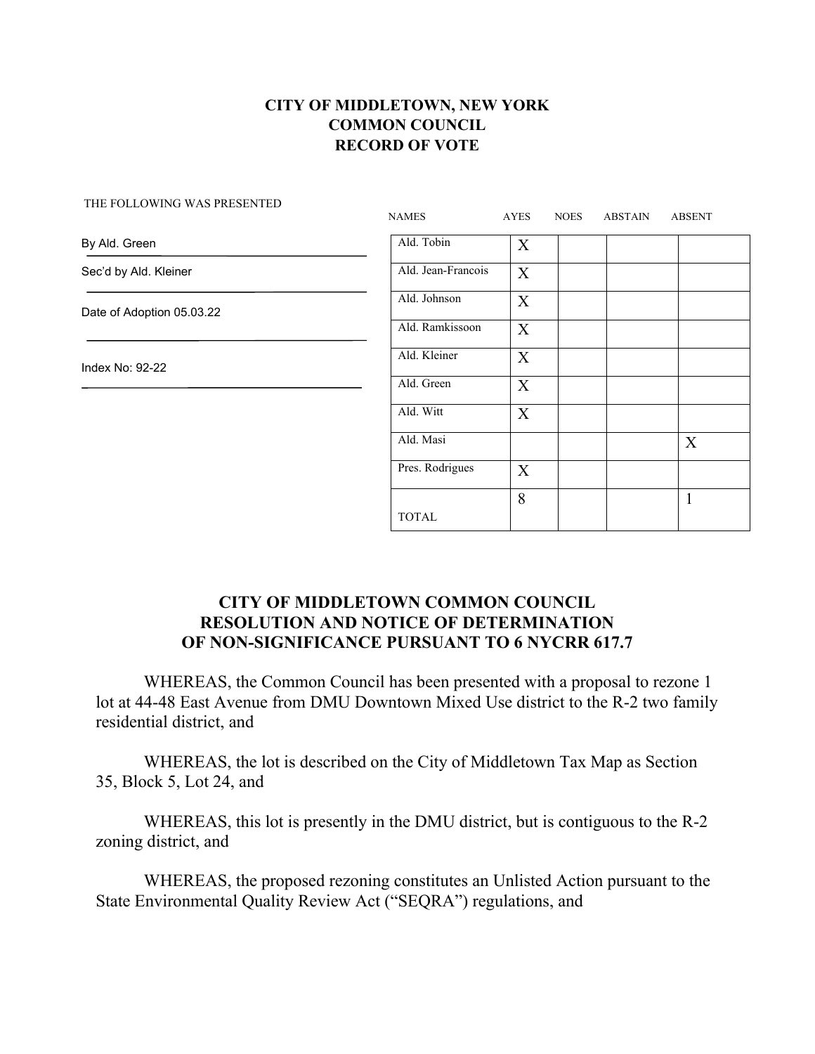| Ald. Tobin<br>X<br>By Ald. Green<br>Ald. Jean-Francois<br>Sec'd by Ald. Kleiner<br>X<br>Ald. Johnson |  |
|------------------------------------------------------------------------------------------------------|--|
|                                                                                                      |  |
|                                                                                                      |  |
| X<br>Date of Adoption 05.03.22                                                                       |  |
| Ald. Ramkissoon<br>X                                                                                 |  |
| Ald. Kleiner<br>X<br>Index No: 92-22                                                                 |  |
| Ald. Green<br>X                                                                                      |  |
| Ald. Witt<br>X                                                                                       |  |
| Ald. Masi<br>X                                                                                       |  |
| Pres. Rodrigues<br>X                                                                                 |  |
| 8<br>$\mathbf{1}$<br><b>TOTAL</b>                                                                    |  |

#### THE FOLLOWING WAS PRESENTED

#### **CITY OF MIDDLETOWN COMMON COUNCIL RESOLUTION AND NOTICE OF DETERMINATION OF NON-SIGNIFICANCE PURSUANT TO 6 NYCRR 617.7**

WHEREAS, the Common Council has been presented with a proposal to rezone 1 lot at 44-48 East Avenue from DMU Downtown Mixed Use district to the R-2 two family residential district, and

WHEREAS, the lot is described on the City of Middletown Tax Map as Section 35, Block 5, Lot 24, and

WHEREAS, this lot is presently in the DMU district, but is contiguous to the R-2 zoning district, and

WHEREAS, the proposed rezoning constitutes an Unlisted Action pursuant to the State Environmental Quality Review Act ("SEQRA") regulations, and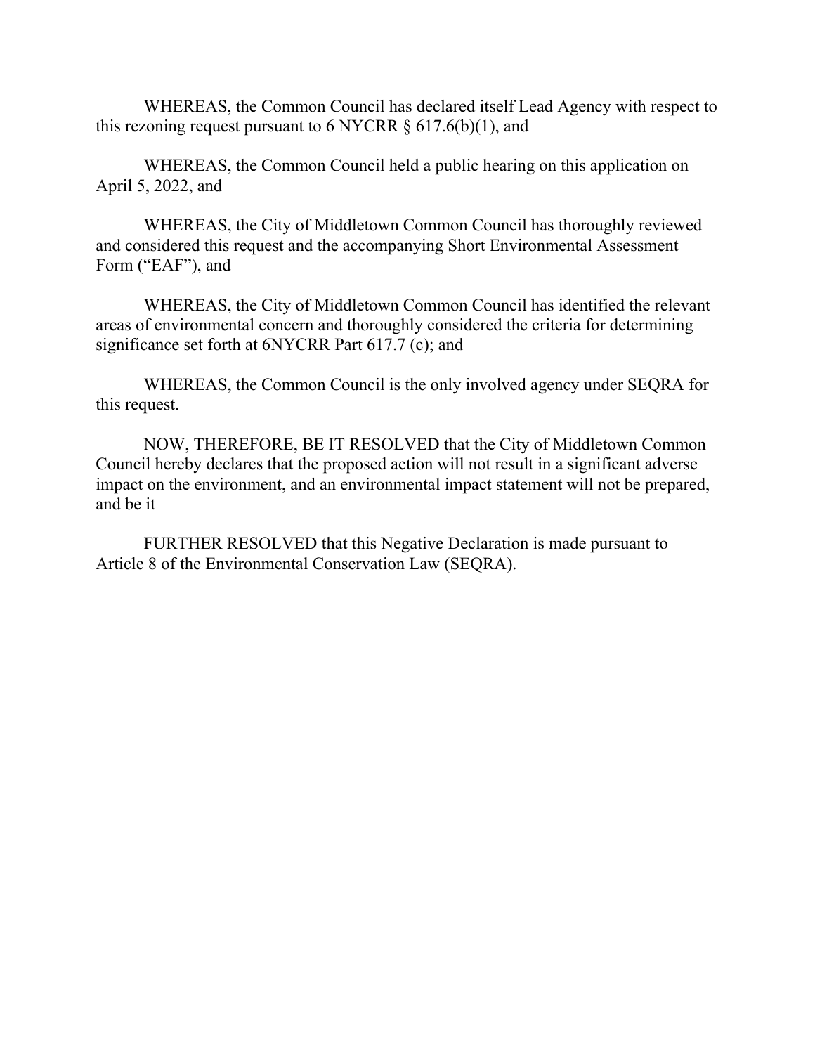WHEREAS, the Common Council has declared itself Lead Agency with respect to this rezoning request pursuant to 6 NYCRR  $\S 617.6(b)(1)$ , and

WHEREAS, the Common Council held a public hearing on this application on April 5, 2022, and

WHEREAS, the City of Middletown Common Council has thoroughly reviewed and considered this request and the accompanying Short Environmental Assessment Form ("EAF"), and

WHEREAS, the City of Middletown Common Council has identified the relevant areas of environmental concern and thoroughly considered the criteria for determining significance set forth at 6NYCRR Part 617.7 (c); and

WHEREAS, the Common Council is the only involved agency under SEQRA for this request.

NOW, THEREFORE, BE IT RESOLVED that the City of Middletown Common Council hereby declares that the proposed action will not result in a significant adverse impact on the environment, and an environmental impact statement will not be prepared, and be it

FURTHER RESOLVED that this Negative Declaration is made pursuant to Article 8 of the Environmental Conservation Law (SEQRA).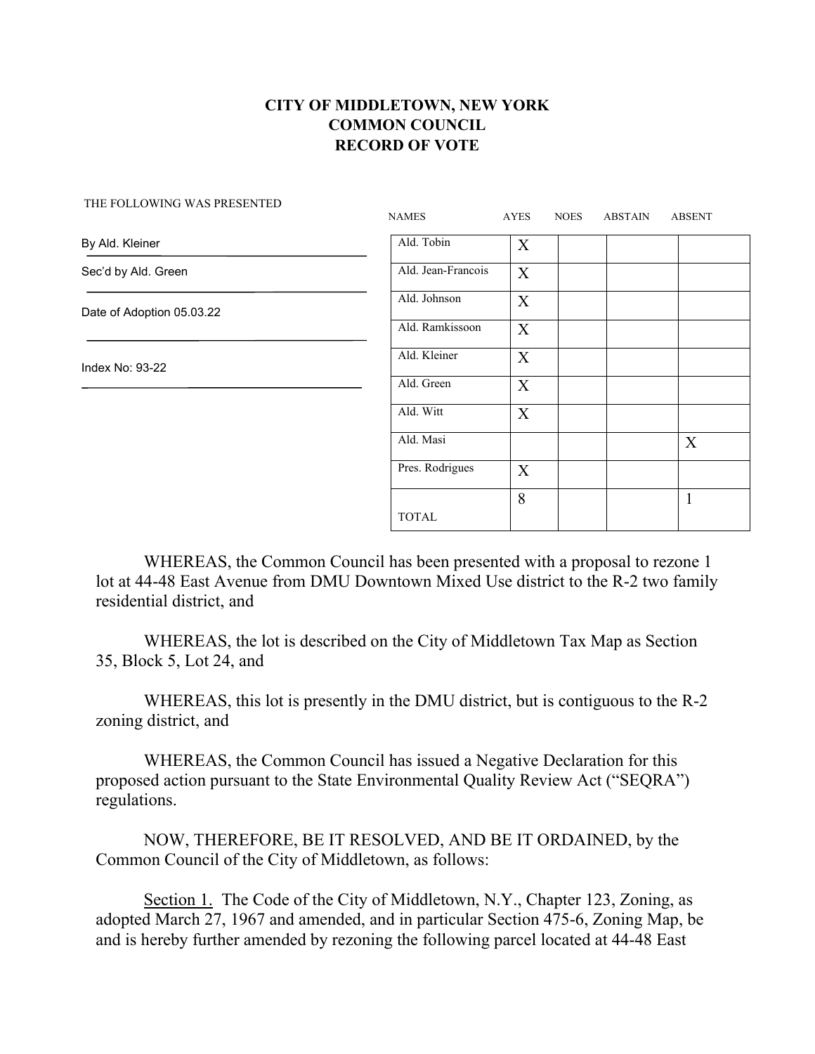| THE FOLLOWING WAS PRESENTED | <b>NAMES</b>       | AYES | <b>NOES</b> | ABSTAIN | <b>ABSENT</b> |
|-----------------------------|--------------------|------|-------------|---------|---------------|
| By Ald. Kleiner             | Ald. Tobin         | X    |             |         |               |
| Sec'd by Ald. Green         | Ald. Jean-Francois | X    |             |         |               |
| Date of Adoption 05.03.22   | Ald. Johnson       | X    |             |         |               |
|                             | Ald. Ramkissoon    | X    |             |         |               |
| Index No: 93-22             | Ald. Kleiner       | X    |             |         |               |
|                             | Ald. Green         | X    |             |         |               |
|                             | Ald. Witt          | X    |             |         |               |
|                             | Ald. Masi          |      |             |         | X             |
|                             | Pres. Rodrigues    | X    |             |         |               |
|                             | <b>TOTAL</b>       | 8    |             |         | $\mathbf{1}$  |

WHEREAS, the Common Council has been presented with a proposal to rezone 1 lot at 44-48 East Avenue from DMU Downtown Mixed Use district to the R-2 two family residential district, and

WHEREAS, the lot is described on the City of Middletown Tax Map as Section 35, Block 5, Lot 24, and

WHEREAS, this lot is presently in the DMU district, but is contiguous to the R-2 zoning district, and

WHEREAS, the Common Council has issued a Negative Declaration for this proposed action pursuant to the State Environmental Quality Review Act ("SEQRA") regulations.

NOW, THEREFORE, BE IT RESOLVED, AND BE IT ORDAINED, by the Common Council of the City of Middletown, as follows:

Section 1. The Code of the City of Middletown, N.Y., Chapter 123, Zoning, as adopted March 27, 1967 and amended, and in particular Section 475-6, Zoning Map, be and is hereby further amended by rezoning the following parcel located at 44-48 East